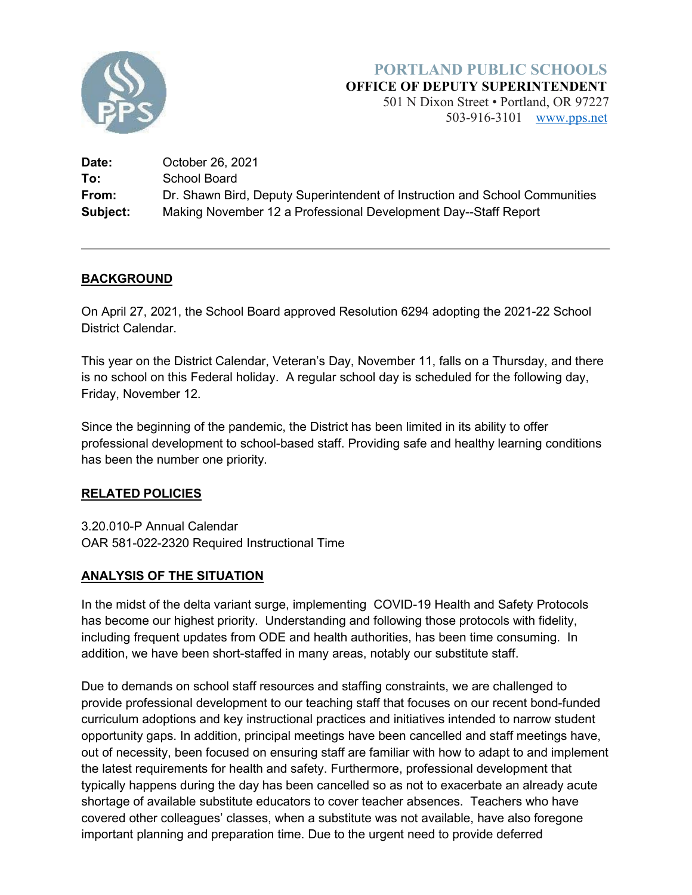

### **PORTLAND PUBLIC SCHOOLS OFFICE OF DEPUTY SUPERINTENDENT**

501 N Dixon Street • Portland, OR 97227 503-916-3101 [www.pps.net](http://www.pps.net/)

| Date:    | October 26, 2021                                                            |
|----------|-----------------------------------------------------------------------------|
| To:      | School Board                                                                |
| From:    | Dr. Shawn Bird, Deputy Superintendent of Instruction and School Communities |
| Subject: | Making November 12 a Professional Development Day--Staff Report             |

# **BACKGROUND**

On April 27, 2021, the School Board approved Resolution 6294 adopting the 2021-22 School District Calendar.

This year on the District Calendar, Veteran's Day, November 11, falls on a Thursday, and there is no school on this Federal holiday. A regular school day is scheduled for the following day, Friday, November 12.

Since the beginning of the pandemic, the District has been limited in its ability to offer professional development to school-based staff. Providing safe and healthy learning conditions has been the number one priority.

#### **RELATED POLICIES**

3.20.010-P Annual Calendar OAR 581-022-2320 Required Instructional Time

# **ANALYSIS OF THE SITUATION**

In the midst of the delta variant surge, implementing COVID-19 Health and Safety Protocols has become our highest priority. Understanding and following those protocols with fidelity, including frequent updates from ODE and health authorities, has been time consuming. In addition, we have been short-staffed in many areas, notably our substitute staff.

Due to demands on school staff resources and staffing constraints, we are challenged to provide professional development to our teaching staff that focuses on our recent bond-funded curriculum adoptions and key instructional practices and initiatives intended to narrow student opportunity gaps. In addition, principal meetings have been cancelled and staff meetings have, out of necessity, been focused on ensuring staff are familiar with how to adapt to and implement the latest requirements for health and safety. Furthermore, professional development that typically happens during the day has been cancelled so as not to exacerbate an already acute shortage of available substitute educators to cover teacher absences. Teachers who have covered other colleagues' classes, when a substitute was not available, have also foregone important planning and preparation time. Due to the urgent need to provide deferred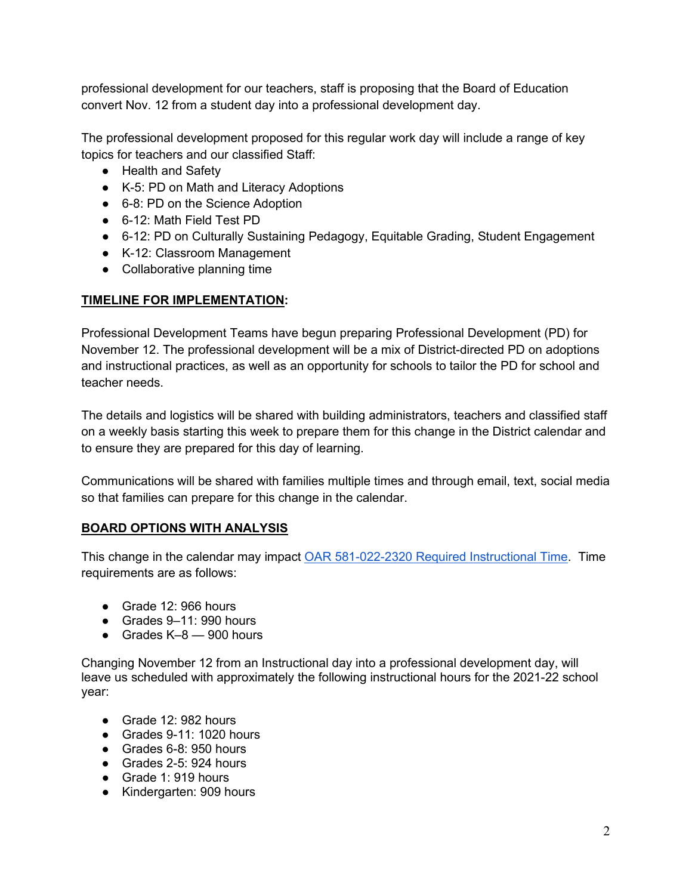professional development for our teachers, staff is proposing that the Board of Education convert Nov. 12 from a student day into a professional development day.

The professional development proposed for this regular work day will include a range of key topics for teachers and our classified Staff:

- Health and Safety
- K-5: PD on Math and Literacy Adoptions
- 6-8: PD on the Science Adoption
- 6-12: Math Field Test PD
- 6-12: PD on Culturally Sustaining Pedagogy, Equitable Grading, Student Engagement
- K-12: Classroom Management
- Collaborative planning time

### **TIMELINE FOR IMPLEMENTATION:**

Professional Development Teams have begun preparing Professional Development (PD) for November 12. The professional development will be a mix of District-directed PD on adoptions and instructional practices, as well as an opportunity for schools to tailor the PD for school and teacher needs.

The details and logistics will be shared with building administrators, teachers and classified staff on a weekly basis starting this week to prepare them for this change in the District calendar and to ensure they are prepared for this day of learning.

Communications will be shared with families multiple times and through email, text, social media so that families can prepare for this change in the calendar.

# **BOARD OPTIONS WITH ANALYSIS**

This change in the calendar may impact [OAR 581-022-2320 Required Instructional Time.](https://secure.sos.state.or.us/oard/viewSingleRule.action?ruleVrsnRsn=250536) Time requirements are as follows:

- $\bullet$  Grade 12: 966 hours
- Grades 9–11: 990 hours
- $\bullet$  Grades K-8  $-$  900 hours

Changing November 12 from an Instructional day into a professional development day, will leave us scheduled with approximately the following instructional hours for the 2021-22 school year:

- Grade 12: 982 hours
- Grades 9-11: 1020 hours
- Grades 6-8: 950 hours
- Grades 2-5: 924 hours
- Grade 1: 919 hours
- Kindergarten: 909 hours